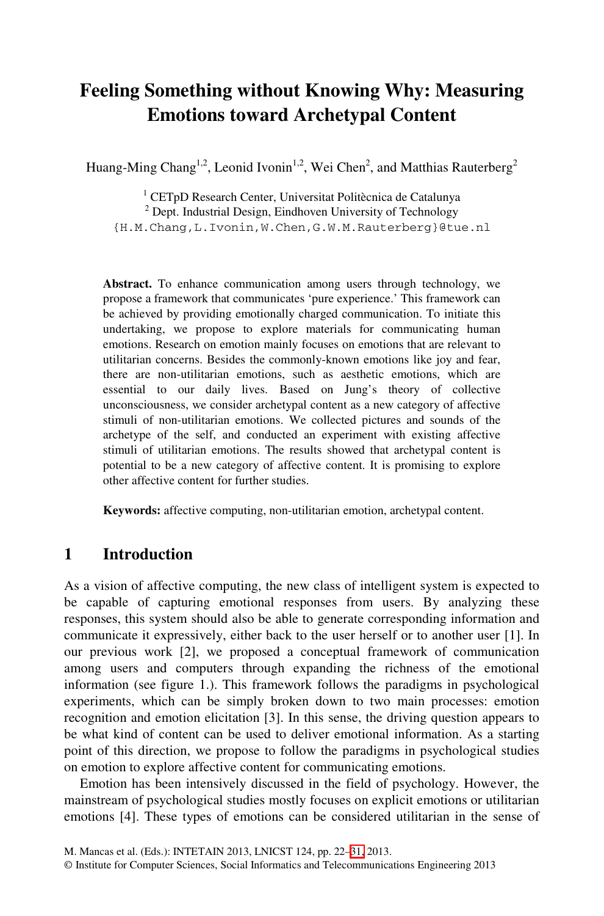# **Feeling Something without Knowing Why: Measuring Emotions toward Archetypal Content**

Huang-Ming Chang<sup>1,2</sup>, Leonid Ivonin<sup>1,2</sup>, Wei Chen<sup>2</sup>, and Matthias Rauterberg<sup>2</sup>

<sup>1</sup> CETpD Research Center, Universitat Politècnica de Catalunya <sup>2</sup> Dept. Industrial Design, Eindhoven University of Technology {H.M.Chang,L.Ivonin,W.Chen,G.W.M.Rauterberg}@tue.nl

**Abstract.** To enhance communication among users through technology, we propose a framework that communicates 'pure experience.' This framework can be achieved by providing emotionally charged communication. To initiate this undertaking, we propose to explore materials for communicating human emotions. Research on emotion mainly focuses on emotions that are relevant to utilitarian concerns. Besides the commonly-known emotions like joy and fear, there are non-utilitarian emotions, such as aesthetic emotions, which are essential to our daily lives. Based on Jung's theory of collective unconsciousness, we consider archetypal content as a new category of affective stimuli of non-utilitarian emotions. We collected pictures and sounds of the archetype of the self, and conducted an experiment with existing affective stimuli of utilitarian emotions. The results showed that archetypal content is potential to be a new category of affective content. It is promising to explore other affective content for further studies.

**Keywords:** affective computing, non-utilitarian emotion, archetypal content.

#### **1 Introduction**

As a vision of affective computing, the new class of intelligent system is expected to be capable of capturing emotional responses from users. By analyzing these responses, this system should also be able to generate corresponding information and communicate it expressively, either back to the user herself or to another user [1]. In our previous work [2], we proposed a conceptual framework of communication among users and computers through expanding the richness of the emotional information (see figure 1.). This framework follows the paradigms in psychological experiments, which can be simply broken down to two main processes: emotion recognition and emotion elicitat[ion](#page-9-0) [3]. In this sense, the driving question appears to be what kind of content can be used to deliver emotional information. As a starting point of this direction, we propose to follow the paradigms in psychological studies on emotion to explore affective content for communicating emotions.

Emotion has been intensively discussed in the field of psychology. However, the mainstream of psychological studies mostly focuses on explicit emotions or utilitarian emotions [4]. These types of emotions can be considered utilitarian in the sense of

M. Mancas et al. (Eds.): INTETAIN 2013, LNICST 124, pp. 22–31, 2013.

<sup>©</sup> Institute for Computer Sciences, Social Informatics and Telecommunications Engineering 2013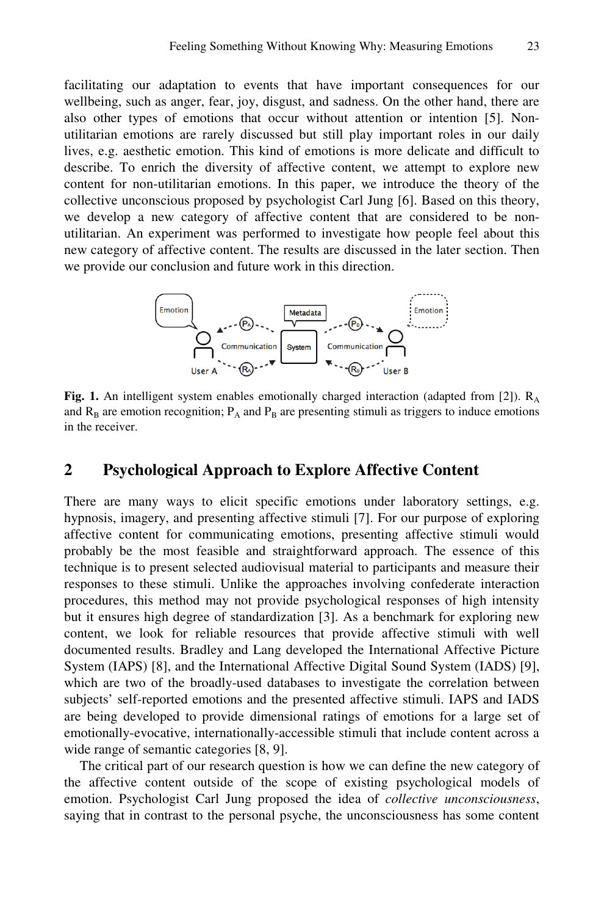facilitating our adaptation to events that have important consequences for our wellbeing, such as anger, fear, joy, disgust, and sadness. On the other hand, there are also other types of emotions that occur without attention or intention [5]. Nonutilitarian emotions are rarely discussed but still play important roles in our daily lives, e.g. aesthetic emotion. This kind of emotions is more delicate and difficult to describe. To enrich the diversity of affective content, we attempt to explore new content for non-utilitarian emotions. In this paper, we introduce the theory of the collective unconscious proposed by psychologist Carl Jung [6]. Based on this theory, we develop a new category of affective content that are considered to be nonutilitarian. An experiment was performed to investigate how people feel about this new category of affective content. The results are discussed in the later section. Then we provide our conclusion and future work in this direction.



**Fig. 1.** An intelligent system enables emotionally charged interaction (adapted from [2]). R<sub>A</sub> and  $R_B$  are emotion recognition;  $P_A$  and  $P_B$  are presenting stimuli as triggers to induce emotions in the receiver.

#### **2 Psychological Approach to Explore Affective Content**

There are many ways to elicit specific emotions under laboratory settings, e.g. hypnosis, imagery, and presenting affective stimuli [7]. For our purpose of exploring affective content for communicating emotions, presenting affective stimuli would probably be the most feasible and straightforward approach. The essence of this technique is to present selected audiovisual material to participants and measure their responses to these stimuli. Unlike the approaches involving confederate interaction procedures, this method may not provide psychological responses of high intensity but it ensures high degree of standardization [3]. As a benchmark for exploring new content, we look for reliable resources that provide affective stimuli with well documented results. Bradley and Lang developed the International Affective Picture System (IAPS) [8], and the International Affective Digital Sound System (IADS) [9], which are two of the broadly-used databases to investigate the correlation between subjects' self-reported emotions and the presented affective stimuli. IAPS and IADS are being developed to provide dimensional ratings of emotions for a large set of emotionally-evocative, internationally-accessible stimuli that include content across a wide range of semantic categories [8, 9].

The critical part of our research question is how we can define the new category of the affective content outside of the scope of existing psychological models of emotion. Psychologist Carl Jung proposed the idea of *collective unconsciousness*, saying that in contrast to the personal psyche, the unconsciousness has some content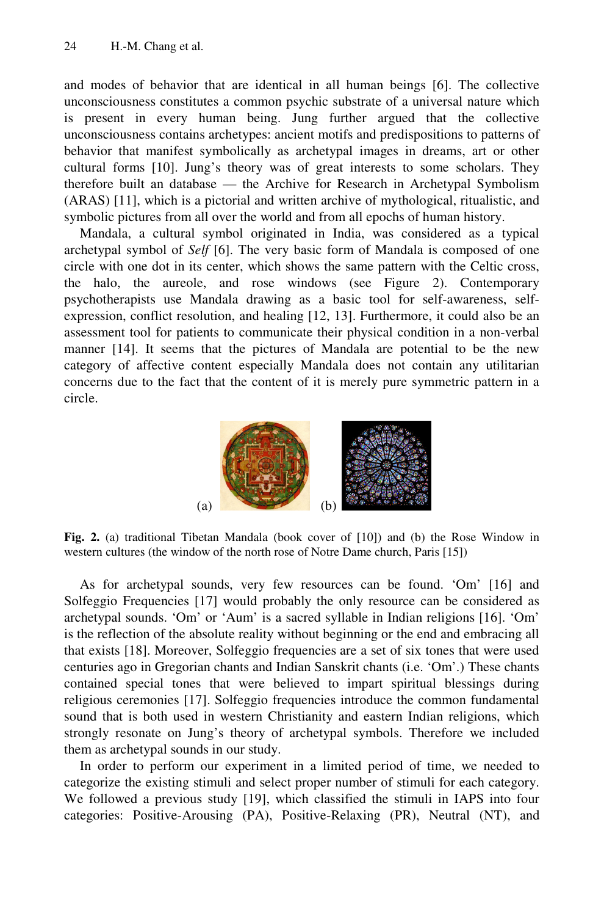and modes of behavior that are identical in all human beings [6]. The collective unconsciousness constitutes a common psychic substrate of a universal nature which is present in every human being. Jung further argued that the collective unconsciousness contains archetypes: ancient motifs and predispositions to patterns of behavior that manifest symbolically as archetypal images in dreams, art or other cultural forms [10]. Jung's theory was of great interests to some scholars. They therefore built an database — the Archive for Research in Archetypal Symbolism (ARAS) [11], which is a pictorial and written archive of mythological, ritualistic, and symbolic pictures from all over the world and from all epochs of human history.

Mandala, a cultural symbol originated in India, was considered as a typical archetypal symbol of *Self* [6]. The very basic form of Mandala is composed of one circle with one dot in its center, which shows the same pattern with the Celtic cross, the halo, the aureole, and rose windows (see Figure 2). Contemporary psychotherapists use Mandala drawing as a basic tool for self-awareness, selfexpression, conflict resolution, and healing [12, 13]. Furthermore, it could also be an assessment tool for patients to communicate their physical condition in a non-verbal manner [14]. It seems that the pictures of Mandala are potential to be the new category of affective content especially Mandala does not contain any utilitarian concerns due to the fact that the content of it is merely pure symmetric pattern in a circle.



**Fig. 2.** (a) traditional Tibetan Mandala (book cover of [10]) and (b) the Rose Window in western cultures (the window of the north rose of Notre Dame church, Paris [15])

As for archetypal sounds, very few resources can be found. 'Om' [16] and Solfeggio Frequencies [17] would probably the only resource can be considered as archetypal sounds. 'Om' or 'Aum' is a sacred syllable in Indian religions [16]. 'Om' is the reflection of the absolute reality without beginning or the end and embracing all that exists [18]. Moreover, Solfeggio frequencies are a set of six tones that were used centuries ago in Gregorian chants and Indian Sanskrit chants (i.e. 'Om'.) These chants contained special tones that were believed to impart spiritual blessings during religious ceremonies [17]. Solfeggio frequencies introduce the common fundamental sound that is both used in western Christianity and eastern Indian religions, which strongly resonate on Jung's theory of archetypal symbols. Therefore we included them as archetypal sounds in our study.

In order to perform our experiment in a limited period of time, we needed to categorize the existing stimuli and select proper number of stimuli for each category. We followed a previous study [19], which classified the stimuli in IAPS into four categories: Positive-Arousing (PA), Positive-Relaxing (PR), Neutral (NT), and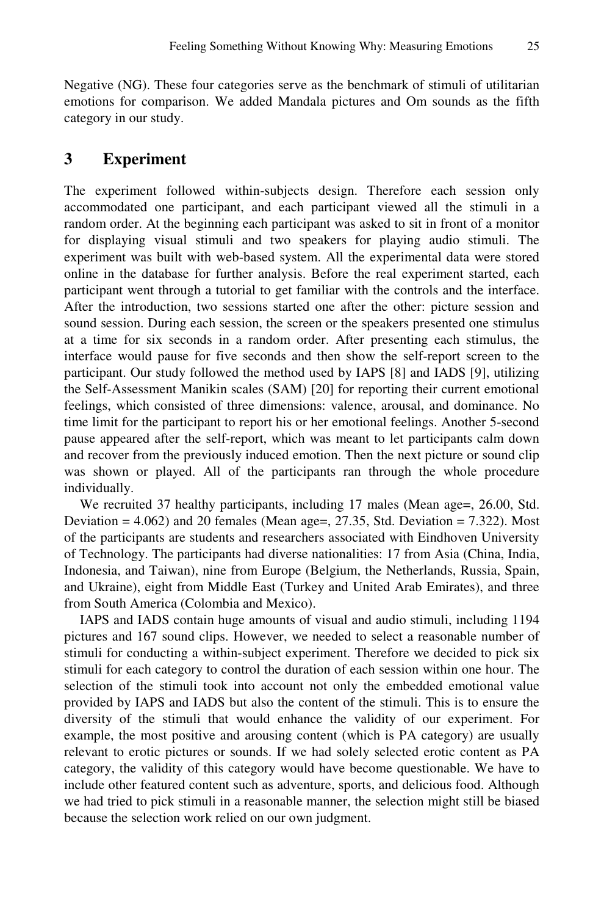Negative (NG). These four categories serve as the benchmark of stimuli of utilitarian emotions for comparison. We added Mandala pictures and Om sounds as the fifth category in our study.

### **3 Experiment**

The experiment followed within-subjects design. Therefore each session only accommodated one participant, and each participant viewed all the stimuli in a random order. At the beginning each participant was asked to sit in front of a monitor for displaying visual stimuli and two speakers for playing audio stimuli. The experiment was built with web-based system. All the experimental data were stored online in the database for further analysis. Before the real experiment started, each participant went through a tutorial to get familiar with the controls and the interface. After the introduction, two sessions started one after the other: picture session and sound session. During each session, the screen or the speakers presented one stimulus at a time for six seconds in a random order. After presenting each stimulus, the interface would pause for five seconds and then show the self-report screen to the participant. Our study followed the method used by IAPS [8] and IADS [9], utilizing the Self-Assessment Manikin scales (SAM) [20] for reporting their current emotional feelings, which consisted of three dimensions: valence, arousal, and dominance. No time limit for the participant to report his or her emotional feelings. Another 5-second pause appeared after the self-report, which was meant to let participants calm down and recover from the previously induced emotion. Then the next picture or sound clip was shown or played. All of the participants ran through the whole procedure individually.

We recruited 37 healthy participants, including 17 males (Mean age=, 26.00, Std. Deviation  $= 4.062$ ) and 20 females (Mean age = 27.35, Std. Deviation  $= 7.322$ ). Most of the participants are students and researchers associated with Eindhoven University of Technology. The participants had diverse nationalities: 17 from Asia (China, India, Indonesia, and Taiwan), nine from Europe (Belgium, the Netherlands, Russia, Spain, and Ukraine), eight from Middle East (Turkey and United Arab Emirates), and three from South America (Colombia and Mexico).

IAPS and IADS contain huge amounts of visual and audio stimuli, including 1194 pictures and 167 sound clips. However, we needed to select a reasonable number of stimuli for conducting a within-subject experiment. Therefore we decided to pick six stimuli for each category to control the duration of each session within one hour. The selection of the stimuli took into account not only the embedded emotional value provided by IAPS and IADS but also the content of the stimuli. This is to ensure the diversity of the stimuli that would enhance the validity of our experiment. For example, the most positive and arousing content (which is PA category) are usually relevant to erotic pictures or sounds. If we had solely selected erotic content as PA category, the validity of this category would have become questionable. We have to include other featured content such as adventure, sports, and delicious food. Although we had tried to pick stimuli in a reasonable manner, the selection might still be biased because the selection work relied on our own judgment.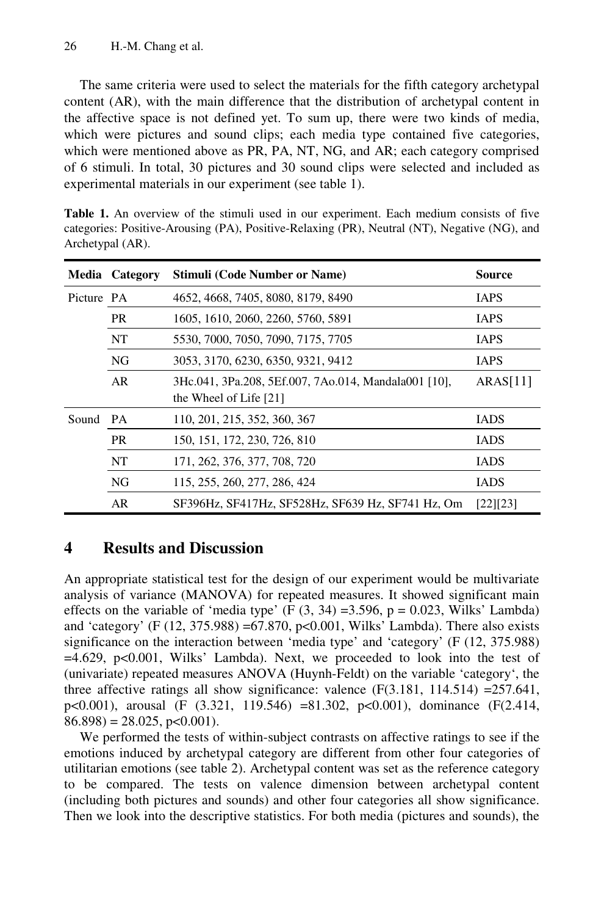The same criteria were used to select the materials for the fifth category archetypal content (AR), with the main difference that the distribution of archetypal content in the affective space is not defined yet. To sum up, there were two kinds of media, which were pictures and sound clips; each media type contained five categories, which were mentioned above as PR, PA, NT, NG, and AR; each category comprised of 6 stimuli. In total, 30 pictures and 30 sound clips were selected and included as experimental materials in our experiment (see table 1).

**Table 1.** An overview of the stimuli used in our experiment. Each medium consists of five categories: Positive-Arousing (PA), Positive-Relaxing (PR), Neutral (NT), Negative (NG), and Archetypal (AR).

|            | Media Category | <b>Stimuli (Code Number or Name)</b>                 | Source      |
|------------|----------------|------------------------------------------------------|-------------|
| Picture PA |                | 4652, 4668, 7405, 8080, 8179, 8490                   | <b>IAPS</b> |
|            | PR.            | 1605, 1610, 2060, 2260, 5760, 5891                   | <b>TAPS</b> |
|            | NT             | 5530, 7000, 7050, 7090, 7175, 7705                   | <b>IAPS</b> |
|            | NG             | 3053, 3170, 6230, 6350, 9321, 9412                   | <b>IAPS</b> |
|            | AR             | 3Hc.041, 3Pa.208, 5Ef.007, 7Ao.014, Mandala001 [10], | ARAS[11]    |
|            |                | the Wheel of Life [21]                               |             |
| Sound      | <b>PA</b>      | 110, 201, 215, 352, 360, 367                         | <b>IADS</b> |
|            | <b>PR</b>      | 150, 151, 172, 230, 726, 810                         | <b>IADS</b> |
|            | NT             | 171, 262, 376, 377, 708, 720                         | <b>IADS</b> |
|            | NG             | 115, 255, 260, 277, 286, 424                         | <b>IADS</b> |
|            | AR             | SF396Hz, SF417Hz, SF528Hz, SF639 Hz, SF741 Hz, Om    | $[22]$ [23] |

## **4 Results and Discussion**

An appropriate statistical test for the design of our experiment would be multivariate analysis of variance (MANOVA) for repeated measures. It showed significant main effects on the variable of 'media type'  $(F(3, 34) = 3.596, p = 0.023, Wilks' Lambda)$ and 'category' (F (12, 375.988) =67.870, p<0.001, Wilks' Lambda). There also exists significance on the interaction between 'media type' and 'category' (F (12, 375.988)  $=4.629$ ,  $p<0.001$ , Wilks' Lambda). Next, we proceeded to look into the test of (univariate) repeated measures ANOVA (Huynh-Feldt) on the variable 'category', the three affective ratings all show significance: valence  $(F(3.181, 114.514) = 257.641$ , p<0.001), arousal (F (3.321, 119.546) =81.302, p<0.001), dominance (F(2.414,  $86.898 = 28.025$ , p $<0.001$ ).

We performed the tests of within-subject contrasts on affective ratings to see if the emotions induced by archetypal category are different from other four categories of utilitarian emotions (see table 2). Archetypal content was set as the reference category to be compared. The tests on valence dimension between archetypal content (including both pictures and sounds) and other four categories all show significance. Then we look into the descriptive statistics. For both media (pictures and sounds), the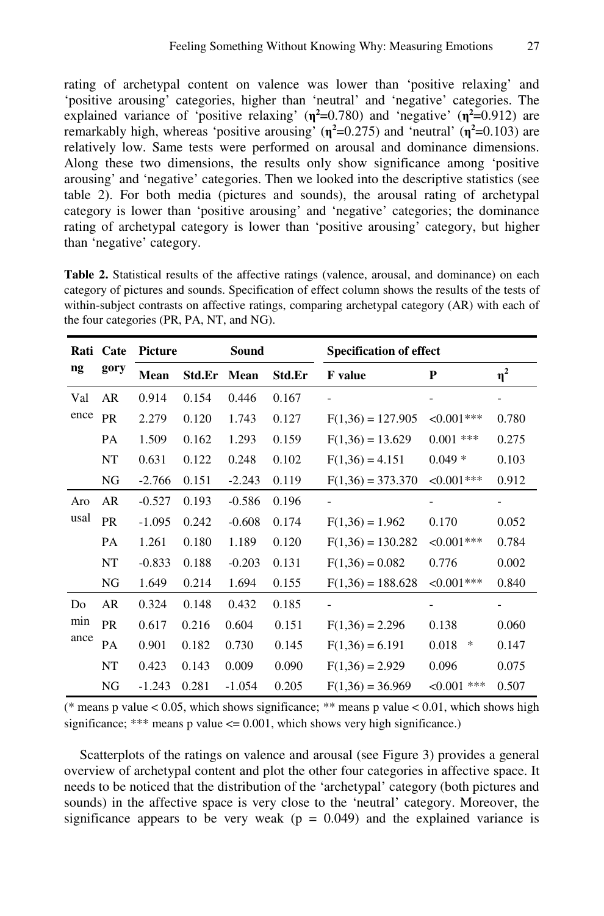rating of archetypal content on valence was lower than 'positive relaxing' and 'positive arousing' categories, higher than 'neutral' and 'negative' categories. The explained variance of 'positive relaxing' (**η<sup>2</sup>** =0.780) and 'negative' (**η<sup>2</sup>** =0.912) are remarkably high, whereas 'positive arousing' (**η<sup>2</sup>** =0.275) and 'neutral' (**η<sup>2</sup>** =0.103) are relatively low. Same tests were performed on arousal and dominance dimensions. Along these two dimensions, the results only show significance among 'positive arousing' and 'negative' categories. Then we looked into the descriptive statistics (see table 2). For both media (pictures and sounds), the arousal rating of archetypal category is lower than 'positive arousing' and 'negative' categories; the dominance rating of archetypal category is lower than 'positive arousing' category, but higher than 'negative' category.

**Table 2.** Statistical results of the affective ratings (valence, arousal, and dominance) on each category of pictures and sounds. Specification of effect column shows the results of the tests of within-subject contrasts on affective ratings, comparing archetypal category (AR) with each of the four categories (PR, PA, NT, and NG).

| Rati                   | Cate      | Picture  |        | Sound    | <b>Specification of effect</b> |                     |                 |                          |
|------------------------|-----------|----------|--------|----------|--------------------------------|---------------------|-----------------|--------------------------|
| $\mathbf{n}\mathbf{g}$ | gory      | Mean     | Std.Er | Mean     | Std.Er                         | <b>F</b> value      | P               | $\eta^2$                 |
| Val                    | AR        | 0.914    | 0.154  | 0.446    | 0.167                          |                     |                 |                          |
| ence                   | <b>PR</b> | 2.279    | 0.120  | 1.743    | 0.127                          | $F(1,36) = 127.905$ | $<0.001***$     | 0.780                    |
|                        | PA        | 1.509    | 0.162  | 1.293    | 0.159                          | $F(1,36) = 13.629$  | $0.001$ ***     | 0.275                    |
|                        | NT        | 0.631    | 0.122  | 0.248    | 0.102                          | $F(1,36) = 4.151$   | $0.049*$        | 0.103                    |
|                        | NG        | $-2.766$ | 0.151  | $-2.243$ | 0.119                          | $F(1,36) = 373.370$ | $<0.001***$     | 0.912                    |
| Aro                    | AR        | $-0.527$ | 0.193  | $-0.586$ | 0.196                          |                     |                 | $\overline{\phantom{a}}$ |
| usal                   | <b>PR</b> | $-1.095$ | 0.242  | $-0.608$ | 0.174                          | $F(1,36) = 1.962$   | 0.170           | 0.052                    |
|                        | PA        | 1.261    | 0.180  | 1.189    | 0.120                          | $F(1,36) = 130.282$ | $<0.001***$     | 0.784                    |
|                        | NT        | $-0.833$ | 0.188  | $-0.203$ | 0.131                          | $F(1,36) = 0.082$   | 0.776           | 0.002                    |
|                        | NG        | 1.649    | 0.214  | 1.694    | 0.155                          | $F(1,36) = 188.628$ | $<0.001***$     | 0.840                    |
| Do<br>min<br>ance      | AR        | 0.324    | 0.148  | 0.432    | 0.185                          |                     |                 |                          |
|                        | <b>PR</b> | 0.617    | 0.216  | 0.604    | 0.151                          | $F(1,36) = 2.296$   | 0.138           | 0.060                    |
|                        | PA        | 0.901    | 0.182  | 0.730    | 0.145                          | $F(1,36) = 6.191$   | $\ast$<br>0.018 | 0.147                    |
|                        | NT        | 0.423    | 0.143  | 0.009    | 0.090                          | $F(1,36) = 2.929$   | 0.096           | 0.075                    |
|                        | NG        | $-1.243$ | 0.281  | $-1.054$ | 0.205                          | $F(1,36) = 36.969$  | ***<br>< 0.001  | 0.507                    |

(\* means p value  $< 0.05$ , which shows significance; \*\* means p value  $< 0.01$ , which shows high significance; \*\*\* means p value  $\leq 0.001$ , which shows very high significance.)

Scatterplots of the ratings on valence and arousal (see Figure 3) provides a general overview of archetypal content and plot the other four categories in affective space. It needs to be noticed that the distribution of the 'archetypal' category (both pictures and sounds) in the affective space is very close to the 'neutral' category. Moreover, the significance appears to be very weak ( $p = 0.049$ ) and the explained variance is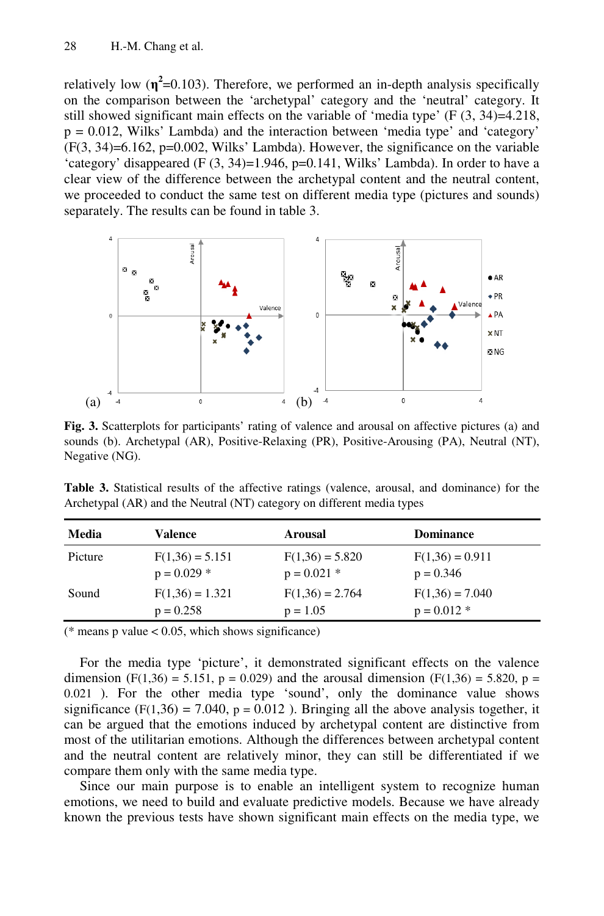relatively low  $(\eta^2=0.103)$ . Therefore, we performed an in-depth analysis specifically on the comparison between the 'archetypal' category and the 'neutral' category. It still showed significant main effects on the variable of 'media type' (F (3, 34)=4.218, p = 0.012, Wilks' Lambda) and the interaction between 'media type' and 'category' (F(3, 34)=6.162, p=0.002, Wilks' Lambda). However, the significance on the variable 'category' disappeared  $(F(3, 34)=1.946, p=0.141,$  Wilks' Lambda). In order to have a clear view of the difference between the archetypal content and the neutral content, we proceeded to conduct the same test on different media type (pictures and sounds) separately. The results can be found in table 3.



**Fig. 3.** Scatterplots for participants' rating of valence and arousal on affective pictures (a) and sounds (b). Archetypal (AR), Positive-Relaxing (PR), Positive-Arousing (PA), Neutral (NT), Negative (NG).

**Table 3.** Statistical results of the affective ratings (valence, arousal, and dominance) for the Archetypal (AR) and the Neutral (NT) category on different media types

| Media   | Valence           | <b>Arousal</b>    | <b>Dominance</b>  |
|---------|-------------------|-------------------|-------------------|
| Picture | $F(1,36) = 5.151$ | $F(1,36) = 5.820$ | $F(1,36) = 0.911$ |
|         | $p = 0.029$ *     | $p = 0.021$ *     | $p = 0.346$       |
| Sound   | $F(1,36) = 1.321$ | $F(1,36) = 2.764$ | $F(1,36) = 7.040$ |
|         | $p = 0.258$       | $p = 1.05$        | $p = 0.012$ *     |

( $*$  means p value < 0.05, which shows significance)

For the media type 'picture', it demonstrated significant effects on the valence dimension (F(1,36) = 5.151, p = 0.029) and the arousal dimension (F(1,36) = 5.820, p = 0.021 ). For the other media type 'sound', only the dominance value shows significance (F(1,36) = 7.040,  $p = 0.012$ ). Bringing all the above analysis together, it can be argued that the emotions induced by archetypal content are distinctive from most of the utilitarian emotions. Although the differences between archetypal content and the neutral content are relatively minor, they can still be differentiated if we compare them only with the same media type.

Since our main purpose is to enable an intelligent system to recognize human emotions, we need to build and evaluate predictive models. Because we have already known the previous tests have shown significant main effects on the media type, we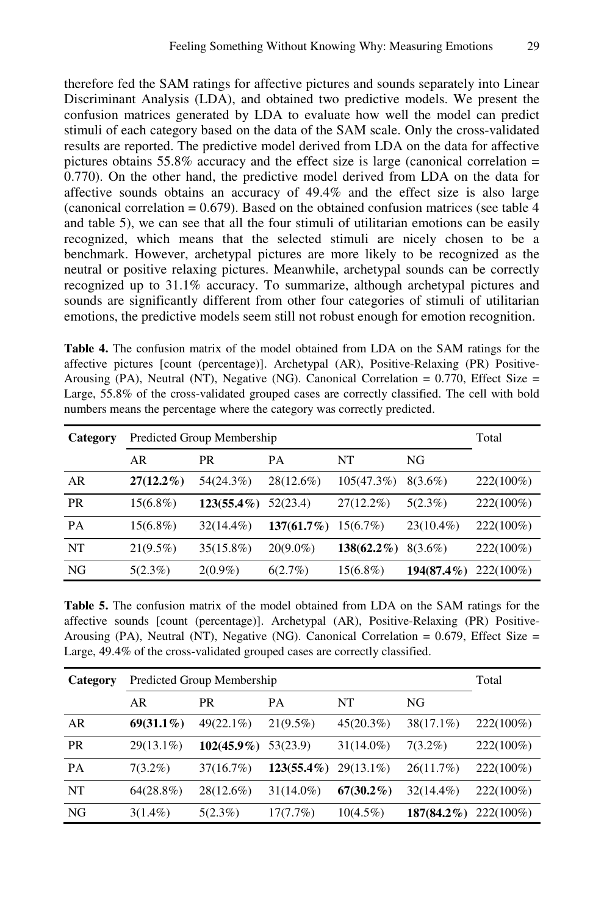therefore fed the SAM ratings for affective pictures and sounds separately into Linear Discriminant Analysis (LDA), and obtained two predictive models. We present the confusion matrices generated by LDA to evaluate how well the model can predict stimuli of each category based on the data of the SAM scale. Only the cross-validated results are reported. The predictive model derived from LDA on the data for affective pictures obtains  $55.8\%$  accuracy and the effect size is large (canonical correlation = 0.770). On the other hand, the predictive model derived from LDA on the data for affective sounds obtains an accuracy of 49.4% and the effect size is also large (canonical correlation  $= 0.679$ ). Based on the obtained confusion matrices (see table 4 and table 5), we can see that all the four stimuli of utilitarian emotions can be easily recognized, which means that the selected stimuli are nicely chosen to be a benchmark. However, archetypal pictures are more likely to be recognized as the neutral or positive relaxing pictures. Meanwhile, archetypal sounds can be correctly recognized up to 31.1% accuracy. To summarize, although archetypal pictures and sounds are significantly different from other four categories of stimuli of utilitarian emotions, the predictive models seem still not robust enough for emotion recognition.

**Table 4.** The confusion matrix of the model obtained from LDA on the SAM ratings for the affective pictures [count (percentage)]. Archetypal (AR), Positive-Relaxing (PR) Positive-Arousing (PA), Neutral (NT), Negative (NG). Canonical Correlation = 0.770, Effect Size = Large, 55.8% of the cross-validated grouped cases are correctly classified. The cell with bold numbers means the percentage where the category was correctly predicted.

| Category  | Predicted Group Membership | Total                 |               |               |               |              |
|-----------|----------------------------|-----------------------|---------------|---------------|---------------|--------------|
|           | AR                         | PR                    | PА            | NT            | NG            |              |
| AR        | $27(12.2\%)$               | 54(24.3%)             | $28(12.6\%)$  | 105(47.3%)    | $8(3.6\%)$    | $222(100\%)$ |
| <b>PR</b> | $15(6.8\%)$                | 123(55.4%) $52(23.4)$ |               | $27(12.2\%)$  | $5(2.3\%)$    | 222(100\%)   |
| <b>PA</b> | 15(6.8%)                   | $32(14.4\%)$          | $137(61.7\%)$ | $15(6.7\%)$   | $23(10.4\%)$  | 222(100\%)   |
| <b>NT</b> | $21(9.5\%)$                | $35(15.8\%)$          | $20(9.0\%)$   | $138(62.2\%)$ | $8(3.6\%)$    | 222(100\%)   |
| NG        | $5(2.3\%)$                 | $2(0.9\%)$            | 6(2.7%)       | $15(6.8\%)$   | $194(87.4\%)$ | 222(100\%)   |

**Table 5.** The confusion matrix of the model obtained from LDA on the SAM ratings for the affective sounds [count (percentage)]. Archetypal (AR), Positive-Relaxing (PR) Positive-Arousing (PA), Neutral (NT), Negative (NG). Canonical Correlation =  $0.679$ , Effect Size = Large, 49.4% of the cross-validated grouped cases are correctly classified.

| Category  | Predicted Group Membership | Total                  |               |              |               |              |
|-----------|----------------------------|------------------------|---------------|--------------|---------------|--------------|
|           | AR                         | <b>PR</b>              | PА            | NT           | NG            |              |
| AR        | $69(31.1\%)$               | $49(22.1\%)$           | $21(9.5\%)$   | $45(20.3\%)$ | $38(17.1\%)$  | 222(100\%)   |
| <b>PR</b> | $29(13.1\%)$               | $102(45.9\%)$ 53(23.9) |               | $31(14.0\%)$ | $7(3.2\%)$    | 222(100\%)   |
| PA        | $7(3.2\%)$                 | 37(16.7%)              | $123(55.4\%)$ | $29(13.1\%)$ | 26(11.7%)     | 222(100\%)   |
| NT        | $64(28.8\%)$               | $28(12.6\%)$           | $31(14.0\%)$  | $67(30.2\%)$ | $32(14.4\%)$  | $222(100\%)$ |
| NG        | $3(1.4\%)$                 | $5(2.3\%)$             | 17(7.7%)      | $10(4.5\%)$  | $187(84.2\%)$ | $222(100\%)$ |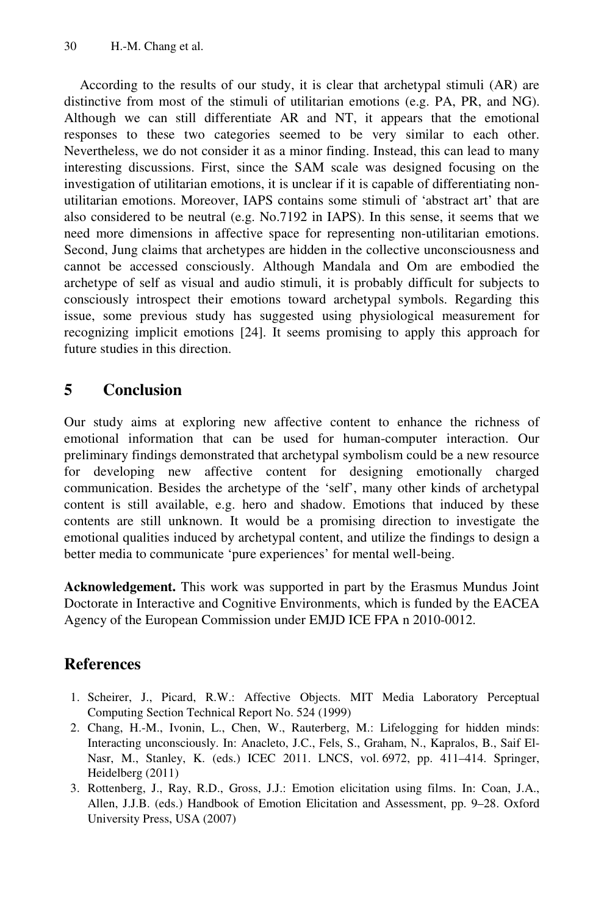According to the results of our study, it is clear that archetypal stimuli (AR) are distinctive from most of the stimuli of utilitarian emotions (e.g. PA, PR, and NG). Although we can still differentiate AR and NT, it appears that the emotional responses to these two categories seemed to be very similar to each other. Nevertheless, we do not consider it as a minor finding. Instead, this can lead to many interesting discussions. First, since the SAM scale was designed focusing on the investigation of utilitarian emotions, it is unclear if it is capable of differentiating nonutilitarian emotions. Moreover, IAPS contains some stimuli of 'abstract art' that are also considered to be neutral (e.g. No.7192 in IAPS). In this sense, it seems that we need more dimensions in affective space for representing non-utilitarian emotions. Second, Jung claims that archetypes are hidden in the collective unconsciousness and cannot be accessed consciously. Although Mandala and Om are embodied the archetype of self as visual and audio stimuli, it is probably difficult for subjects to consciously introspect their emotions toward archetypal symbols. Regarding this issue, some previous study has suggested using physiological measurement for recognizing implicit emotions [24]. It seems promising to apply this approach for future studies in this direction.

# **5 Conclusion**

Our study aims at exploring new affective content to enhance the richness of emotional information that can be used for human-computer interaction. Our preliminary findings demonstrated that archetypal symbolism could be a new resource for developing new affective content for designing emotionally charged communication. Besides the archetype of the 'self', many other kinds of archetypal content is still available, e.g. hero and shadow. Emotions that induced by these contents are still unknown. It would be a promising direction to investigate the emotional qualities induced by archetypal content, and utilize the findings to design a better media to communicate 'pure experiences' for mental well-being.

**Acknowledgement.** This work was supported in part by the Erasmus Mundus Joint Doctorate in Interactive and Cognitive Environments, which is funded by the EACEA Agency of the European Commission under EMJD ICE FPA n 2010-0012.

# **References**

- 1. Scheirer, J., Picard, R.W.: Affective Objects. MIT Media Laboratory Perceptual Computing Section Technical Report No. 524 (1999)
- 2. Chang, H.-M., Ivonin, L., Chen, W., Rauterberg, M.: Lifelogging for hidden minds: Interacting unconsciously. In: Anacleto, J.C., Fels, S., Graham, N., Kapralos, B., Saif El-Nasr, M., Stanley, K. (eds.) ICEC 2011. LNCS, vol. 6972, pp. 411–414. Springer, Heidelberg (2011)
- 3. Rottenberg, J., Ray, R.D., Gross, J.J.: Emotion elicitation using films. In: Coan, J.A., Allen, J.J.B. (eds.) Handbook of Emotion Elicitation and Assessment, pp. 9–28. Oxford University Press, USA (2007)